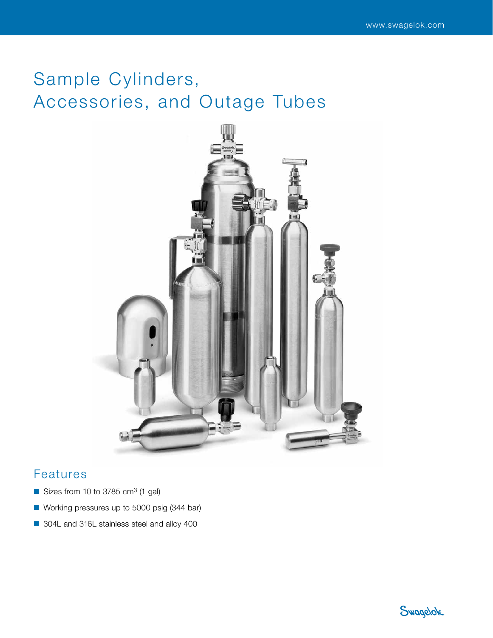# Sample Cylinders, Accessories, and Outage Tubes



## Features

- Sizes from 10 to 3785 cm<sup>3</sup> (1 gal)
- Working pressures up to 5000 psig (344 bar)
- 304L and 316L stainless steel and alloy 400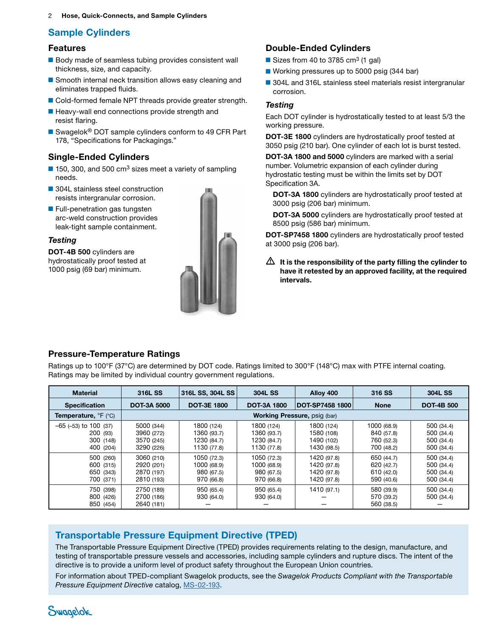### Sample Cylinders

#### Features

- Body made of seamless tubing provides consistent wall thickness, size, and capacity.
- Smooth internal neck transition allows easy cleaning and eliminates trapped fluids.
- Cold-formed female NPT threads provide greater strength.
- Heavy-wall end connections provide strength and resist flaring.
- Swagelok<sup>®</sup> DOT sample cylinders conform to 49 CFR Part 178, "Specifications for Packagings."

### Single-Ended Cylinders

- 150, 300, and 500 cm<sup>3</sup> sizes meet a variety of sampling needs.
- 304L stainless steel construction resists intergranular corrosion.
- Full-penetration gas tungsten arc-weld construction provides leak-tight sample containment.

#### *Testing*

DOT-4B 500 cylinders are hydrostatically proof tested at 1000 psig (69 bar) minimum.



### Double-Ended Cylinders

- Sizes from 40 to 3785 cm<sup>3</sup> (1 gal)
- Working pressures up to 5000 psig (344 bar)
- 304L and 316L stainless steel materials resist intergranular corrosion.

#### *Testing*

Each DOT cylinder is hydrostatically tested to at least 5/3 the working pressure.

DOT-3E 1800 cylinders are hydrostatically proof tested at 3050 psig (210 bar). One cylinder of each lot is burst tested.

DOT-3A 1800 and 5000 cylinders are marked with a serial number. Volumetric expansion of each cylinder during hydrostatic testing must be within the limits set by DOT Specification 3A.

 DOT-3A 1800 cylinders are hydrostatically proof tested at 3000 psig (206 bar) minimum.

DOT-3A 5000 cylinders are hydrostatically proof tested at 8500 psig (586 bar) minimum.

DOT-SP7458 1800 cylinders are hydrostatically proof tested at 3000 psig (206 bar).

 $\triangle$  It is the responsibility of the party filling the cylinder to have it retested by an approved facility, at the required intervals.

### Pressure-Temperature Ratings

Ratings up to 100°F (37°C) are determined by DOT code. Ratings limited to 300°F (148°C) max with PTFE internal coating. Ratings may be limited by individual country government regulations.

| <b>Material</b>                                                   | <b>316L SS</b>                                       | 316L SS, 304L SS                                        | <b>304L SS</b>                                          | Alloy 400                                                | 316 SS                                                | <b>304L SS</b>                                       |
|-------------------------------------------------------------------|------------------------------------------------------|---------------------------------------------------------|---------------------------------------------------------|----------------------------------------------------------|-------------------------------------------------------|------------------------------------------------------|
| <b>Specification</b>                                              | <b>DOT-3A 5000</b>                                   | <b>DOT-3E 1800</b>                                      | <b>DOT-3A 1800</b>                                      | DOT-SP7458 1800                                          | <b>None</b>                                           | <b>DOT-4B 500</b>                                    |
| <b>Temperature, °F (°C)</b>                                       |                                                      |                                                         |                                                         | <b>Working Pressure, psig (bar)</b>                      |                                                       |                                                      |
| $-65$ ( $-53$ ) to 100 (37)<br>200 (93)<br>300 (148)<br>400 (204) | 5000 (344)<br>3960 (272)<br>3570 (245)<br>3290 (226) | 1800 (124)<br>1360 (93.7)<br>1230 (84.7)<br>1130 (77.8) | 1800 (124)<br>1360 (93.7)<br>1230 (84.7)<br>1130 (77.8) | 1800 (124)<br>1580 (108)<br>1490 (102)<br>1430 (98.5)    | 1000 (68.9)<br>840 (57.8)<br>760 (52.3)<br>700 (48.2) | 500 (34.4)<br>500 (34.4)<br>500 (34.4)<br>500 (34.4) |
| 500 (260)<br>600 (315)<br>650 (343)<br>700 (371)                  | 3060 (210)<br>2920 (201)<br>2870 (197)<br>2810 (193) | 1050 (72.3)<br>1000 (68.9)<br>980 (67.5)<br>970 (66.8)  | 1050 (72.3)<br>1000 (68.9)<br>980 (67.5)<br>970 (66.8)  | 1420 (97.8)<br>1420 (97.8)<br>1420 (97.8)<br>1420 (97.8) | 650 (44.7)<br>620 (42.7)<br>610 (42.0)<br>590 (40.6)  | 500 (34.4)<br>500 (34.4)<br>500 (34.4)<br>500 (34.4) |
| 750 (398)<br>800 (426)<br>850 (454)                               | 2750 (189)<br>2700 (186)<br>2640 (181)               | 950 (65.4)<br>930 (64.0)                                | 950 (65.4)<br>930 (64.0)                                | 1410 (97.1)                                              | 580 (39.9)<br>570 (39.2)<br>560 (38.5)                | 500 (34.4)<br>500 (34.4)                             |

### Transportable Pressure Equipment Directive (TPED)

The Transportable Pressure Equipment Directive (TPED) provides requirements relating to the design, manufacture, and testing of transportable pressure vessels and accessories, including sample cylinders and rupture discs. The intent of the directive is to provide a uniform level of product safety throughout the European Union countries.

For information about TPED-compliant Swagelok products, see the *Swagelok Products Compliant with the Transportable Pressure Equipment Directive* catalog, [MS-02-193](http://www.swagelok.com/downloads/webcatalogs/EN/MS-02-193-E.PDF).

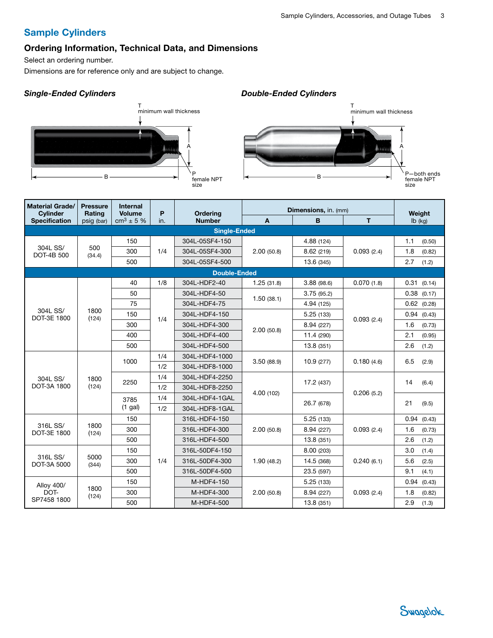### Sample Cylinders

### Ordering Information, Technical Data, and Dimensions

Select an ordering number.

Dimensions are for reference only and are subject to change.

### *Single-Ended Cylinders Double-Ended Cylinders*





| <b>Material Grade/</b><br><b>Cvlinder</b> | <b>Pressure</b><br>Rating | <b>Internal</b><br><b>Volume</b> | P              | <b>Ordering</b>     | Dimensions, in. (mm) |            | Weight        |                 |                |            |                |            |              |
|-------------------------------------------|---------------------------|----------------------------------|----------------|---------------------|----------------------|------------|---------------|-----------------|----------------|------------|----------------|------------|--------------|
| <b>Specification</b>                      | psig (bar)                | $cm3 \pm 5$ %                    | in.            | <b>Number</b>       | $\mathbf{A}$         | B          | T.            | $Ib$ (kg)       |                |            |                |            |              |
|                                           |                           |                                  |                | <b>Single-Ended</b> |                      |            |               |                 |                |            |                |            |              |
|                                           |                           | 150                              |                | 304L-05SF4-150      |                      | 4.88 (124) |               | 1.1<br>(0.50)   |                |            |                |            |              |
| 304L SS/<br>500<br>DOT-4B 500<br>(34.4)   | 300                       | 1/4                              | 304L-05SF4-300 | 2.00(50.8)          | 8.62 (219)           | 0.093(2.4) | 1.8<br>(0.82) |                 |                |            |                |            |              |
|                                           |                           | 500                              |                | 304L-05SF4-500      |                      | 13.6 (345) |               | 2.7<br>(1.2)    |                |            |                |            |              |
|                                           |                           |                                  |                | <b>Double-Ended</b> |                      |            |               |                 |                |            |                |            |              |
|                                           |                           | 40                               | 1/8            | 304L-HDF2-40        | 1.25(31.8)           | 3.88(98.6) | 0.070(1.8)    | 0.31<br>(0.14)  |                |            |                |            |              |
|                                           |                           | 50                               |                | 304L-HDF4-50        |                      | 3.75(95.2) |               | 0.38<br>(0.17)  |                |            |                |            |              |
|                                           |                           | 75                               |                | 304L-HDF4-75        | 1.50(38.1)           | 4.94 (125) |               | $0.62$ $(0.28)$ |                |            |                |            |              |
| 304L SS/<br>DOT-3E 1800                   | 1800<br>(124)             | 150                              |                | 304L-HDF4-150       |                      | 5.25(133)  |               | 0.94<br>(0.43)  |                |            |                |            |              |
|                                           |                           | 300                              | 1/4            | 304L-HDF4-300       | 2.00(50.8)           | 8.94 (227) | 0.093(2.4)    | 1.6<br>(0.73)   |                |            |                |            |              |
|                                           |                           | 400                              |                | 304L-HDF4-400       |                      | 11.4 (290) |               | 2.1<br>(0.95)   |                |            |                |            |              |
|                                           |                           | 500                              |                | 304L-HDF4-500       |                      | 13.8(351)  |               | 2.6<br>(1.2)    |                |            |                |            |              |
|                                           |                           |                                  |                |                     |                      |            | 1000          | 1/4             | 304L-HDF4-1000 | 3.50(88.9) | 10.9 (277)     | 0.180(4.6) | 6.5<br>(2.9) |
|                                           |                           |                                  |                |                     |                      |            |               |                 |                | 1/2        | 304L-HDF8-1000 |            |              |
| 304L SS/                                  | 1800                      | 2250                             | 1/4            | 304L-HDF4-2250      | 4.00 (102)           | 17.2 (437) | 0.206(5.2)    | 14              |                |            |                |            |              |
| DOT-3A 1800                               | (124)                     |                                  | 1/2            | 304L-HDF8-2250      |                      |            |               | (6.4)           |                |            |                |            |              |
|                                           |                           | 3785<br>$(1$ gal)                | 1/4            | 304L-HDF4-1GAL      |                      | 26.7 (678) |               | 21<br>(9.5)     |                |            |                |            |              |
|                                           |                           |                                  | 1/2            | 304L-HDF8-1GAL      |                      |            |               |                 |                |            |                |            |              |
|                                           |                           | 150                              |                | 316L-HDF4-150       |                      | 5.25(133)  |               | 0.94<br>(0.43)  |                |            |                |            |              |
| 316L SS/<br>DOT-3E 1800                   | 1800<br>(124)             | 300                              |                | 316L-HDF4-300       | 2.00(50.8)           | 8.94 (227) | 0.093(2.4)    | 1.6<br>(0.73)   |                |            |                |            |              |
|                                           |                           | 500                              |                | 316L-HDF4-500       |                      | 13.8(351)  |               | 2.6<br>(1.2)    |                |            |                |            |              |
|                                           |                           | 150                              |                | 316L-50DF4-150      |                      | 8.00 (203) |               | 3.0<br>(1.4)    |                |            |                |            |              |
| 316L SS/<br>DOT-3A 5000                   | 5000<br>(344)             | 300                              | 1/4            | 316L-50DF4-300      | 1.90(48.2)           | 14.5 (368) | 0.240(6.1)    | 5.6<br>(2.5)    |                |            |                |            |              |
|                                           |                           | 500                              |                | 316L-50DF4-500      |                      | 23.5 (597) |               | 9.1<br>(4.1)    |                |            |                |            |              |
| <b>Alloy 400/</b>                         |                           | 150                              |                | M-HDF4-150          |                      | 5.25(133)  |               | 0.94<br>(0.43)  |                |            |                |            |              |
| DOT-                                      | 1800<br>(124)             | 300                              |                | M-HDF4-300          | 2.00(50.8)           | 8.94 (227) | 0.093(2.4)    | 1.8<br>(0.82)   |                |            |                |            |              |
| SP7458 1800                               |                           |                                  | 500            |                     | M-HDF4-500           |            | 13.8(351)     |                 | 2.9<br>(1.3)   |            |                |            |              |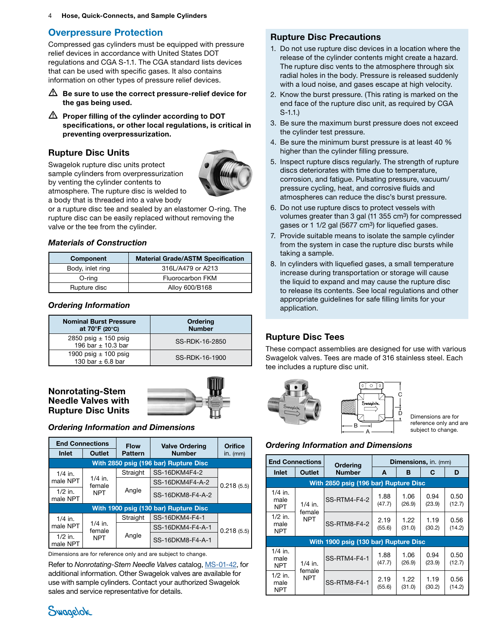### Overpressure Protection

Compressed gas cylinders must be equipped with pressure relief devices in accordance with United States DOT regulations and CGA S-1.1. The CGA standard lists devices that can be used with specific gases. It also contains information on other types of pressure relief devices.

- $\triangle$  Be sure to use the correct pressure-relief device for the gas being used.
- $\triangle$  Proper filling of the cylinder according to DOT specifications, or other local regulations, is critical in preventing overpressurization.

### Rupture Disc Units

Swagelok rupture disc units protect sample cylinders from overpressurization by venting the cylinder contents to atmosphere. The rupture disc is welded to a body that is threaded into a valve body



or a rupture disc tee and sealed by an elastomer O-ring. The rupture disc can be easily replaced without removing the valve or the tee from the cylinder.

#### *Materials of Construction*

| Component        | <b>Material Grade/ASTM Specification</b> |
|------------------|------------------------------------------|
| Body, inlet ring | 316L/A479 or A213                        |
| O-ring           | Fluorocarbon FKM                         |
| Rupture disc     | Alloy 600/B168                           |

### *Ordering Information*

| <b>Nominal Burst Pressure</b><br>at $70^\circ$ F (20 $^\circ$ C) | Ordering<br><b>Number</b> |
|------------------------------------------------------------------|---------------------------|
| 2850 psig $\pm$ 150 psig<br>196 bar $\pm$ 10.3 bar               | SS-RDK-16-2850            |
| 1900 psig $\pm$ 100 psig<br>130 bar $\pm$ 6.8 bar                | SS-RDK-16-1900            |

### Nonrotating-Stem Needle Valves with Rupture Disc Units



### *Ordering Information and Dimensions*

| <b>End Connections</b>                |                     | <b>Flow</b>    | <b>Valve Ordering</b>                 | <b>Orifice</b> |  |  |  |
|---------------------------------------|---------------------|----------------|---------------------------------------|----------------|--|--|--|
| Inlet                                 | <b>Outlet</b>       | <b>Pattern</b> | <b>Number</b>                         | $in.$ (mm)     |  |  |  |
| With 2850 psig (196 bar) Rupture Disc |                     |                |                                       |                |  |  |  |
| $1/4$ in.                             |                     | Straight       | SS-16DKM4F4-2                         |                |  |  |  |
| male NPT                              | $1/4$ in.<br>female |                | SS-16DKM4F4-A-2                       | 0.218(5.5)     |  |  |  |
| $1/2$ in.<br>male NPT                 | <b>NPT</b>          | Angle          | SS-16DKM8-F4-A-2                      |                |  |  |  |
|                                       |                     |                | With 1900 psig (130 bar) Rupture Disc |                |  |  |  |
| $1/4$ in.                             |                     | Straight       | SS-16DKM4-F4-1                        |                |  |  |  |
| male NPT                              | $1/4$ in.<br>female |                | SS-16DKM4-F4-A-1                      | 0.218(5.5)     |  |  |  |
| $1/2$ in.<br>male NPT                 | <b>NPT</b>          | Angle          | SS-16DKM8-F4-A-1                      |                |  |  |  |

Dimensions are for reference only and are subject to change.

Refer to *Nonrotating-Stem Needle Valves* catalog, [MS-01-42,](http://www.swagelok.com/downloads/webcatalogs/EN/MS-01-42.PDF) for additional information. Other Swagelok valves are available for use with sample cylinders. Contact your authorized Swagelok sales and service representative for details.

### Rupture Disc Precautions

- 1. Do not use rupture disc devices in a location where the release of the cylinder contents might create a hazard. The rupture disc vents to the atmosphere through six radial holes in the body. Pressure is released suddenly with a loud noise, and gases escape at high velocity.
- 2. Know the burst pressure. (This rating is marked on the end face of the rupture disc unit, as required by CGA S-1.1.)
- 3. Be sure the maximum burst pressure does not exceed the cylinder test pressure.
- 4. Be sure the minimum burst pressure is at least 40 % higher than the cylinder filling pressure.
- 5. Inspect rupture discs regularly. The strength of rupture discs deteriorates with time due to temperature, corrosion, and fatigue. Pulsating pressure, vacuum/ pressure cycling, heat, and corrosive fluids and atmospheres can reduce the disc's burst pressure.
- 6. Do not use rupture discs to protect vessels with volumes greater than 3 gal (11 355 cm<sup>3</sup>) for compressed gases or 1 1/2 gal (5677 cm<sup>3</sup>) for liquefied gases.
- 7. Provide suitable means to isolate the sample cylinder from the system in case the rupture disc bursts while taking a sample.
- 8. In cylinders with liquefied gases, a small temperature increase during transportation or storage will cause the liquid to expand and may cause the rupture disc to release its contents. See local regulations and other appropriate guidelines for safe filling limits for your application.

### Rupture Disc Tees

These compact assemblies are designed for use with various Swagelok valves. Tees are made of 316 stainless steel. Each tee includes a rupture disc unit.



Dimensions are for reference only and are subject to change.

### *Ordering Information and Dimensions*

| <b>End Connections</b>                |                      | <b>Ordering</b>                       | <b>Dimensions, in. (mm)</b> |                |                |                |
|---------------------------------------|----------------------|---------------------------------------|-----------------------------|----------------|----------------|----------------|
| Inlet                                 | Outlet               | <b>Number</b>                         | A                           | в              | С              | D              |
| With 2850 psig (196 bar) Rupture Disc |                      |                                       |                             |                |                |                |
| $1/4$ in.<br>male<br>NPT              | $1/4$ in.            | SS-RTM4-F4-2                          | 1.88<br>(47.7)              | 1.06<br>(26.9) | 0.94<br>(23.9) | 0.50<br>(12.7) |
| $1/2$ in.<br>male<br><b>NPT</b>       | female<br><b>NPT</b> | <b>SS-RTM8-F4-2</b>                   | 2.19<br>(55.6)              | 1.22<br>(31.0) | 1.19<br>(30.2) | 0.56<br>(14.2) |
|                                       |                      | With 1900 psig (130 bar) Rupture Disc |                             |                |                |                |
| $1/4$ in.<br>male<br>NPT              | $1/4$ in.<br>female  | SS-RTM4-F4-1                          | 1.88<br>(47.7)              | 1.06<br>(26.9) | 0.94<br>(23.9) | 0.50<br>(12.7) |
| $1/2$ in.<br>male<br>NPT              | <b>NPT</b>           | SS-RTM8-F4-1                          | 2.19<br>(55.6)              | 1.22<br>(31.0) | 1.19<br>(30.2) | 0.56<br>(14.2) |

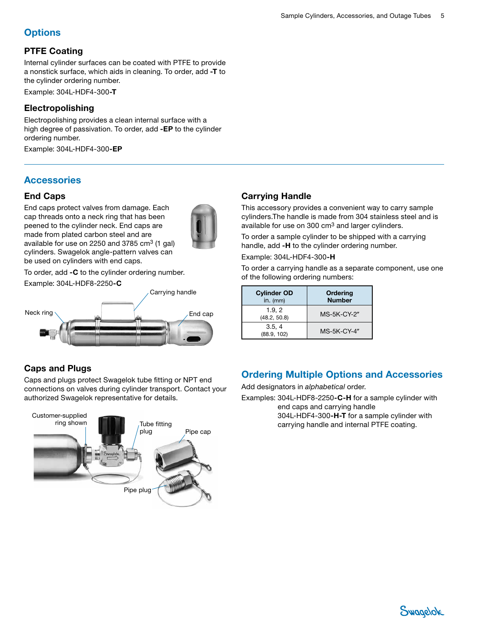### **Options**

### PTFE Coating

Internal cylinder surfaces can be coated with PTFE to provide a nonstick surface, which aids in cleaning. To order, add -T to the cylinder ordering number.

Example: 304L-HDF4-300-T

### Electropolishing

Electropolishing provides a clean internal surface with a high degree of passivation. To order, add -EP to the cylinder ordering number.

Example: 304L-HDF4-300-EP

### **Accessories**

### End Caps

End caps protect valves from damage. Each cap threads onto a neck ring that has been peened to the cylinder neck. End caps are made from plated carbon steel and are available for use on 2250 and 3785 cm3 (1 gal) cylinders. Swagelok angle-pattern valves can be used on cylinders with end caps.

To order, add -C to the cylinder ordering number.

Example: 304L-HDF8-2250-C



### Carrying Handle

This accessory provides a convenient way to carry sample cylinders.The handle is made from 304 stainless steel and is available for use on 300 cm<sup>3</sup> and larger cylinders.

To order a sample cylinder to be shipped with a carrying handle, add -H to the cylinder ordering number.

Example: 304L-HDF4-300-H

To order a carrying handle as a separate component, use one of the following ordering numbers:

| <b>Cylinder OD</b><br>$in.$ (mm) | <b>Ordering</b><br><b>Number</b> |
|----------------------------------|----------------------------------|
| 1.9.2<br>(48.2, 50.8)            | <b>MS-5K-CY-2"</b>               |
| 3.5, 4<br>(88.9, 102)            | <b>MS-5K-CY-4"</b>               |

### Caps and Plugs

Caps and plugs protect Swagelok tube fitting or NPT end connections on valves during cylinder transport. Contact your authorized Swagelok representative for details.



### Ordering Multiple Options and Accessories

Add designators in *alphabetical* order.

Examples: 304L-HDF8-2250-C-H for a sample cylinder with end caps and carrying handle 304L-HDF4-300-H-T for a sample cylinder with carrying handle and internal PTFE coating.

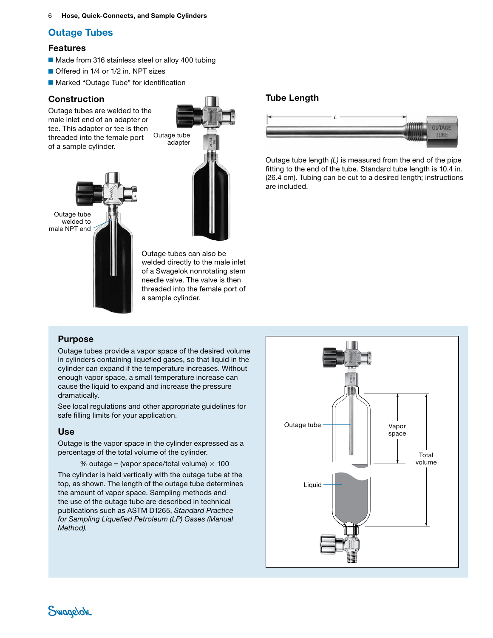### Outage Tubes

### Features

- Made from 316 stainless steel or alloy 400 tubing
- Offered in 1/4 or 1/2 in. NPT sizes
- Marked "Outage Tube" for identification

### Construction

Outage tubes are welded to the male inlet end of an adapter or tee. This adapter or tee is then threaded into the female port of a sample cylinder.





Outage tubes can also be welded directly to the male inlet of a Swagelok nonrotating stem needle valve. The valve is then threaded into the female port of a sample cylinder.

### Tube Length



Outage tube length *(L)* is measured from the end of the pipe fitting to the end of the tube. Standard tube length is 10.4 in. (26.4 cm). Tubing can be cut to a desired length; instructions are included.

### Purpose

Outage tubes provide a vapor space of the desired volume in cylinders containing liquefied gases, so that liquid in the cylinder can expand if the temperature increases. Without enough vapor space, a small temperature increase can cause the liquid to expand and increase the pressure dramatically.

See local regulations and other appropriate guidelines for safe filling limits for your application.

### Use

Outage is the vapor space in the cylinder expressed as a percentage of the total volume of the cylinder.

% outage = (vapor space/total volume)  $\times$  100

The cylinder is held vertically with the outage tube at the top, as shown. The length of the outage tube determines the amount of vapor space. Sampling methods and the use of the outage tube are described in technical publications such as ASTM D1265, *Standard Practice for Sampling Liquefied Petroleum (LP) Gases (Manual Method).*



Swagelok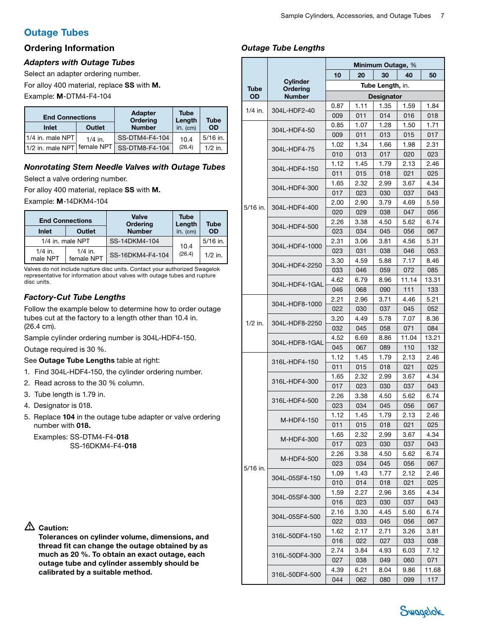### Outage Tubes

### Ordering Information

### *Adapters with Outage Tubes*

Select an adapter ordering number.

For alloy 400 material, replace SS with M.

Example: M-DTM4-F4-104

| <b>End Connections</b> |               | Adapter<br><b>Ordering</b> | <b>Tube</b><br>Length | Tube      |
|------------------------|---------------|----------------------------|-----------------------|-----------|
| Inlet                  | <b>Outlet</b> | <b>Number</b>              | in. (cm)              | OD        |
| 1/4 in. male $NPT$     | $1/4$ in.     | SS-DTM4-F4-104             | 10.4                  | 5/16 in.  |
| 1/2 in. male NPT       | female NPT    | SS-DTM8-F4-104             | (26.4)                | $1/2$ in. |

### *Nonrotating Stem Needle Valves with Outage Tubes*

Select a valve ordering number.

For alloy 400 material, replace SS with M.

Example: M-14DKM4-104

|                       | <b>End Connections</b>  | Valve<br><b>Ordering</b> | <b>Tube</b><br>Length | <b>Tube</b> |
|-----------------------|-------------------------|--------------------------|-----------------------|-------------|
| Inlet                 | Outlet                  | <b>Number</b>            | in. (cm)              | OD          |
| 1/4 in. male NPT      |                         | SS-14DKM4-104            | 10.4                  | $5/16$ in.  |
| $1/4$ in.<br>male NPT | $1/4$ in.<br>female NPT | SS-16DKM4-F4-104         | (26.4)                | $1/2$ in.   |

Valves do not include rupture disc units. Contact your authorized Swagelok representative for information about valves with outage tubes and rupture disc units.

### *Factory-Cut Tube Lengths*

Follow the example below to determine how to order outage tubes cut at the factory to a length other than 10.4 in. (26.4 cm).

Sample cylinder ordering number is 304L-HDF4-150.

Outage required is 30 %.

See Outage Tube Lengths table at right:

- 1. Find 304L-HDF4-150, the cylinder ordering number.
- 2. Read across to the 30 % column.
- 3. Tube length is 1.79 in.
- 4. Designator is 018.
- 5. Replace 104 in the outage tube adapter or valve ordering number with 018.

Examples: SS-DTM4-F4-018 SS-16DKM4-F4-018

| $\triangle$ Caution: |  |
|----------------------|--|
|----------------------|--|

Tolerances on cylinder volume, dimensions, and thread fit can change the outage obtained by as much as 20 %. To obtain an exact outage, each outage tube and cylinder assembly should be calibrated by a suitable method.

### *Outage Tube Lengths*

|                   |                                  | Minimum Outage, % |             |             |             |             |  |  |  |
|-------------------|----------------------------------|-------------------|-------------|-------------|-------------|-------------|--|--|--|
|                   |                                  | 10                | 20          | 30          | 40          | 50          |  |  |  |
|                   | <b>Cylinder</b>                  | Tube Length, in.  |             |             |             |             |  |  |  |
| Tube<br><b>OD</b> | <b>Ordering</b><br><b>Number</b> | <b>Designator</b> |             |             |             |             |  |  |  |
|                   |                                  | 0.87              | 1.11        | 1.35        | 1.59        | 1.84        |  |  |  |
| $1/4$ in.         | 304L-HDF2-40                     | 009               | 011         | 014         | 016         | 018         |  |  |  |
|                   |                                  | 0.85              | 1.07        | 1.28        | 1.50        | 1.71        |  |  |  |
|                   | 304L-HDF4-50                     | 009               | 011         | 013         | 015         | 017         |  |  |  |
|                   |                                  | 1.02              | 1.34        | 1.66        | 1.98        | 2.31        |  |  |  |
|                   | 304L-HDF4-75                     | 010               | 013         | 017         | 020         | 023         |  |  |  |
|                   |                                  | 1.12              | 1.45        | 1.79        | 2.13        | 2.46        |  |  |  |
|                   | 304L-HDF4-150                    | 011               | 015         | 018         | 021         | 025         |  |  |  |
|                   | 304L-HDF4-300                    | 1.65              | 2.32        | 2.99        | 3.67        | 4.34        |  |  |  |
|                   |                                  | 017               | 023         | 030         | 037         | 043         |  |  |  |
| 5/16 in.          | 304L-HDF4-400                    | 2.00              | 2.90        | 3.79        | 4.69        | 5.59        |  |  |  |
|                   |                                  | 020               | 029         | 038         | 047         | 056         |  |  |  |
|                   | 304L-HDF4-500                    | 2.26              | 3.38        | 4.50        | 5.62        | 6.74        |  |  |  |
|                   |                                  | 023               | 034         | 045         | 056         | 067         |  |  |  |
|                   | 304L-HDF4-1000                   | 2.31              | 3.06        | 3.81        | 4.56        | 5.31        |  |  |  |
|                   |                                  | 023               | 031         | 038         | 046         | 053         |  |  |  |
|                   | 304L-HDF4-2250                   | 3.30              | 4.59        | 5.88        | 7.17        | 8.46        |  |  |  |
|                   |                                  | 033               | 046         | 059         | 072         | 085         |  |  |  |
|                   | 304L-HDF4-1GAL                   | 4.62              | 6.79        | 8.96        | 11.14       | 13.31       |  |  |  |
|                   |                                  | 046               | 068         | 090         | 111         | 133         |  |  |  |
| 1/2 in.           | 304L-HDF8-1000                   | 2.21              | 2.96        | 3.71        | 4.46        | 5.21        |  |  |  |
|                   |                                  | 022               | 030         | 037         | 045         | 052         |  |  |  |
|                   | 304L-HDF8-2250                   | 3.20              | 4.49        | 5.78        | 7.07        | 8.36        |  |  |  |
|                   |                                  | 032               | 045         | 058         | 071         | 084         |  |  |  |
|                   | 304L-HDF8-1GAL                   | 4.52              | 6.69        | 8.86        | 11.04       | 13.21       |  |  |  |
|                   |                                  | 045               | 067         | 089         | 110         | 132         |  |  |  |
|                   | 316L-HDF4-150                    | 1.12              | 1.45        | 1.79        | 2.13        | 2.46        |  |  |  |
|                   |                                  | 011               | 015         | 018         | 021         | 025         |  |  |  |
|                   | 316L-HDF4-300                    | 1.65              | 2.32        | 2.99        | 3.67        | 4.34        |  |  |  |
|                   |                                  | 017               | 023         | 030         | 037         | 043         |  |  |  |
|                   | 316L-HDF4-500                    | 2.26              | 3.38        | 4.50        | 5.62        | 6.74        |  |  |  |
|                   |                                  | 023               | 034         | 045         | 056         | 067         |  |  |  |
|                   | M-HDF4-150                       | 1.12              | 1.45        | 1.79        | 2.13        | 2.46        |  |  |  |
|                   |                                  | 011               | 015         | 018         | 021         | 025         |  |  |  |
|                   | M-HDF4-300                       | 1.65              | 2.32        | 2.99        | 3.67        | 4.34        |  |  |  |
|                   |                                  | 017               | 023         | 030         | 037         | 043         |  |  |  |
|                   | M-HDF4-500                       | 2.26              | 3.38        | 4.50        | 5.62        | 6.74        |  |  |  |
| $5/16$ in.        |                                  | 023               | 034         | 045         | 056         | 067         |  |  |  |
|                   | 304L-05SF4-150                   | 1.09              | 1.43        | 1.77        | 2.12        | 2.46        |  |  |  |
|                   |                                  | 010               | 014         | 018         | 021         | 025<br>4.34 |  |  |  |
|                   | 304L-05SF4-300                   | 1.59              | 2.27        | 2.96        | 3.65        |             |  |  |  |
|                   |                                  | 016<br>2.16       | 023<br>3.30 | 030<br>4.45 | 037<br>5.60 | 043<br>6.74 |  |  |  |
|                   | 304L-05SF4-500                   |                   |             |             |             |             |  |  |  |
|                   |                                  | 022               | 033         | 045         | 056         | 067         |  |  |  |
|                   | 316L-50DF4-150                   | 1.62              | 2.17        | 2.71        | 3.26        | 3.81        |  |  |  |
|                   |                                  | 016               | 022         | 027         | 033         | 038         |  |  |  |
|                   | 316L-50DF4-300                   | 2.74<br>027       | 3.84<br>038 | 4.93<br>049 | 6.03<br>060 | 7.12<br>071 |  |  |  |
|                   |                                  | 4.39              | 6.21        | 8.04        | 9.86        | 11.68       |  |  |  |
|                   | 316L-50DF4-500                   | 044               | 062         | 080         | 099         | 117         |  |  |  |
|                   |                                  |                   |             |             |             |             |  |  |  |

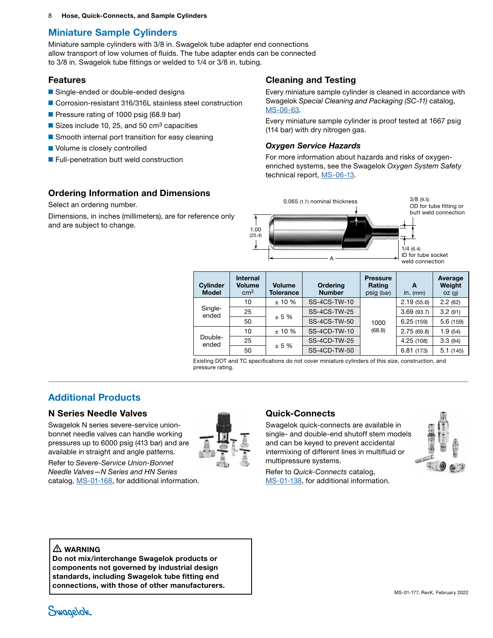### Miniature Sample Cylinders

Miniature sample cylinders with 3/8 in. Swagelok tube adapter end connections allow transport of low volumes of fluids. The tube adapter ends can be connected to 3/8 in. Swagelok tube fittings or welded to 1/4 or 3/8 in. tubing.

#### Features

- Single-ended or double-ended designs
- Corrosion-resistant 316/316L stainless steel construction
- Pressure rating of 1000 psig (68.9 bar)
- Sizes include 10, 25, and 50  $\text{cm}^3$  capacities
- Smooth internal port transition for easy cleaning
- Volume is closely controlled
- Full-penetration butt weld construction

### Ordering Information and Dimensions

Select an ordering number.

Dimensions, in inches (millimeters), are for reference only and are subject to change.

### Cleaning and Testing

Every miniature sample cylinder is cleaned in accordance with Swagelok *Special Cleaning and Packaging (SC-11)* catalog, [MS-06-63](http://www.swagelok.com/downloads/webcatalogs/EN/MS-06-63.PDF)*.*

Every miniature sample cylinder is proof tested at 1667 psig (114 bar) with dry nitrogen gas.

#### *Oxygen Service Hazards*

For more information about hazards and risks of oxygenenriched systems, see the Swagelok *Oxygen System Safety*  technical report, [MS-06-13](http://www.swagelok.com/downloads/webcatalogs/EN/MS-06-13.PDF).



| Cylinder<br><b>Model</b>           | Internal<br><b>Volume</b><br>cm <sup>3</sup> | <b>Volume</b><br><b>Tolerance</b> | <b>Ordering</b><br><b>Number</b> | <b>Pressure</b><br>Rating<br>psig (bar) | A<br>$in.$ (mm) | Average<br>Weight<br>OZ(g) |
|------------------------------------|----------------------------------------------|-----------------------------------|----------------------------------|-----------------------------------------|-----------------|----------------------------|
| 10<br>Single-<br>25<br>ended<br>50 |                                              | ± 10%                             | SS-4CS-TW-10                     |                                         | 2.19(55.6)      | 2.2(62)                    |
|                                    |                                              | ± 5%                              | <b>SS-4CS-TW-25</b>              | 1000                                    | 3.69(93.7)      | 3.2(91)                    |
|                                    |                                              |                                   | SS-4CS-TW-50                     |                                         | 6.25(159)       | 5.6(159)                   |
| Double-<br>ended                   | 10                                           | $± 10 \%$                         | SS-4CD-TW-10                     | (68.9)                                  | 2.75(69.8)      | 1.9(54)                    |
|                                    | 25                                           | ± 5%                              | <b>SS-4CD-TW-25</b>              |                                         | 4.25(108)       | 3.3(94)                    |
|                                    | 50                                           |                                   | SS-4CD-TW-50                     |                                         | 6.81(173)       | 5.1(145)                   |

Existing DOT and TC specifications do not cover miniature cylinders of this size, construction, and pressure rating.

### Additional Products

### N Series Needle Valves

Swagelok N series severe-service unionbonnet needle valves can handle working pressures up to 6000 psig (413 bar) and are available in straight and angle patterns.

Refer to *Severe-Service Union-Bonnet Needle Valves—N Series and HN Series* catalog, [MS-01-168](http://www.swagelok.com/downloads/webcatalogs/EN/MS-01-168.PDF), for additional information.



### Quick-Connects

Swagelok quick-connects are available in single- and double-end shutoff stem models and can be keyed to prevent accidental intermixing of different lines in multifluid or multipressure systems.

Refer to *Quick-Connects* catalog, [MS-01-138,](http://www.swagelok.com/downloads/webcatalogs/EN/MS-01-138.PDF) for additional information.



#### $\triangle$  WARNING

Do not mix/interchange Swagelok products or components not governed by industrial design standards, including Swagelok tube fitting end connections, with those of other manufacturers.